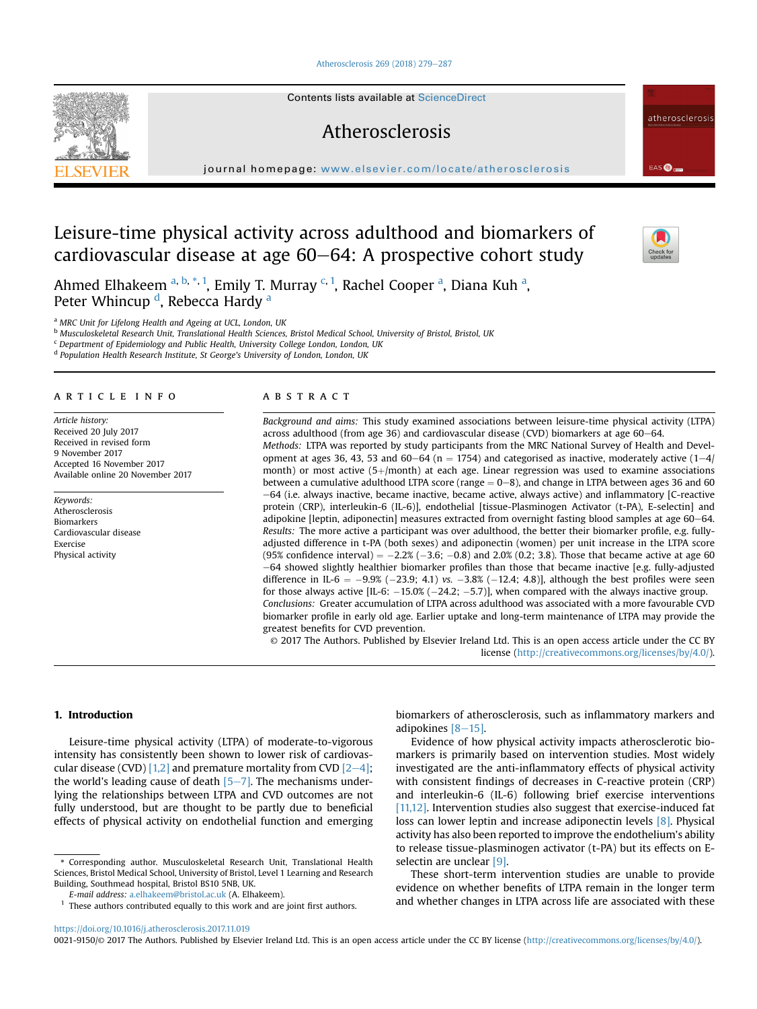### [Atherosclerosis 269 \(2018\) 279](https://doi.org/10.1016/j.atherosclerosis.2017.11.019)-[287](https://doi.org/10.1016/j.atherosclerosis.2017.11.019)

Contents lists available at ScienceDirect

# Atherosclerosis

journal homepage: [www.elsevier.com/locate/atherosclerosis](http://www.elsevier.com/locate/atherosclerosis)

# Leisure-time physical activity across adulthood and biomarkers of cardiovascular disease at age  $60-64$ : A prospective cohort study

Ahmed Elhakeem <sup>a, b, \*, 1</sup>, Emily T. Murray <sup>c, 1</sup>, Rachel Cooper <sup>a</sup>, Diana Kuh <sup>a</sup>, Peter Whincup <sup>d</sup>, Rebecca Hardy <sup>a</sup>

a MRC Unit for Lifelong Health and Ageing at UCL, London, UK

**b Musculoskeletal Research Unit, Translational Health Sciences, Bristol Medical School, University of Bristol, Bristol, UK** 

<sup>c</sup> Department of Epidemiology and Public Health, University College London, London, UK

<sup>d</sup> Population Health Research Institute, St George's University of London, London, UK

# article info

Article history: Received 20 July 2017 Received in revised form 9 November 2017 Accepted 16 November 2017 Available online 20 November 2017

Keywords: Atherosclerosis Biomarkers Cardiovascular disease Exercise Physical activity

### **ABSTRACT**

Background and aims: This study examined associations between leisure-time physical activity (LTPA) across adulthood (from age 36) and cardiovascular disease (CVD) biomarkers at age  $60-64$ . Methods: LTPA was reported by study participants from the MRC National Survey of Health and Development at ages 36, 43, 53 and 60–64 (n = 1754) and categorised as inactive, moderately active (1–4/ month) or most active  $(5+)$  month) at each age. Linear regression was used to examine associations between a cumulative adulthood LTPA score (range  $= 0-8$ ), and change in LTPA between ages 36 and 60 e64 (i.e. always inactive, became inactive, became active, always active) and inflammatory [C-reactive protein (CRP), interleukin-6 (IL-6)], endothelial [tissue-Plasminogen Activator (t-PA), E-selectin] and adipokine [leptin, adiponectin] measures extracted from overnight fasting blood samples at age 60–64. Results: The more active a participant was over adulthood, the better their biomarker profile, e.g. fullyadjusted difference in t-PA (both sexes) and adiponectin (women) per unit increase in the LTPA score  $(95\%$  confidence interval $) = -2.2\%$  (-3.6; -0.8) and 2.0% (0.2; 3.8). Those that became active at age 60  $-64$  showed slightly healthier biomarker profiles than those that became inactive [e.g. fully-adjusted difference in IL-6 =  $-9.9\%$  ( $-23.9$ ; 4.1) vs.  $-3.8\%$  ( $-12.4$ ; 4.8)], although the best profiles were seen for those always active [IL-6:  $-15.0\%$  ( $-24.2$ ;  $-5.7$ )], when compared with the always inactive group. Conclusions: Greater accumulation of LTPA across adulthood was associated with a more favourable CVD biomarker profile in early old age. Earlier uptake and long-term maintenance of LTPA may provide the greatest benefits for CVD prevention.

© 2017 The Authors. Published by Elsevier Ireland Ltd. This is an open access article under the CC BY license [\(http://creativecommons.org/licenses/by/4.0/](http://creativecommons.org/licenses/by/4.0/)).

## 1. Introduction

Leisure-time physical activity (LTPA) of moderate-to-vigorous intensity has consistently been shown to lower risk of cardiovas-cular disease (CVD) [\[1,2\]](#page-7-0) and premature mortality from CVD  $[2-4]$  $[2-4]$ ; the world's leading cause of death  $[5-7]$  $[5-7]$  $[5-7]$ . The mechanisms underlying the relationships between LTPA and CVD outcomes are not fully understood, but are thought to be partly due to beneficial effects of physical activity on endothelial function and emerging

\* Corresponding author. Musculoskeletal Research Unit, Translational Health Sciences, Bristol Medical School, University of Bristol, Level 1 Learning and Research Building, Southmead hospital, Bristol BS10 5NB, UK.

E-mail address: [a.elhakeem@bristol.ac.uk](mailto:a.elhakeem@bristol.ac.uk) (A. Elhakeem).

biomarkers of atherosclerosis, such as inflammatory markers and adipokines  $[8-15]$  $[8-15]$ .

Evidence of how physical activity impacts atherosclerotic biomarkers is primarily based on intervention studies. Most widely investigated are the anti-inflammatory effects of physical activity with consistent findings of decreases in C-reactive protein (CRP) and interleukin-6 (IL-6) following brief exercise interventions [\[11,12\].](#page-7-0) Intervention studies also suggest that exercise-induced fat loss can lower leptin and increase adiponectin levels [\[8\]](#page-7-0). Physical activity has also been reported to improve the endothelium's ability to release tissue-plasminogen activator (t-PA) but its effects on Eselectin are unclear [\[9\]](#page-7-0).

These short-term intervention studies are unable to provide evidence on whether benefits of LTPA remain in the longer term and whether changes in LTPA across life are associated with these

<https://doi.org/10.1016/j.atherosclerosis.2017.11.019>







EAS **O** 

atherosclerosis

 $1$  These authors contributed equally to this work and are joint first authors.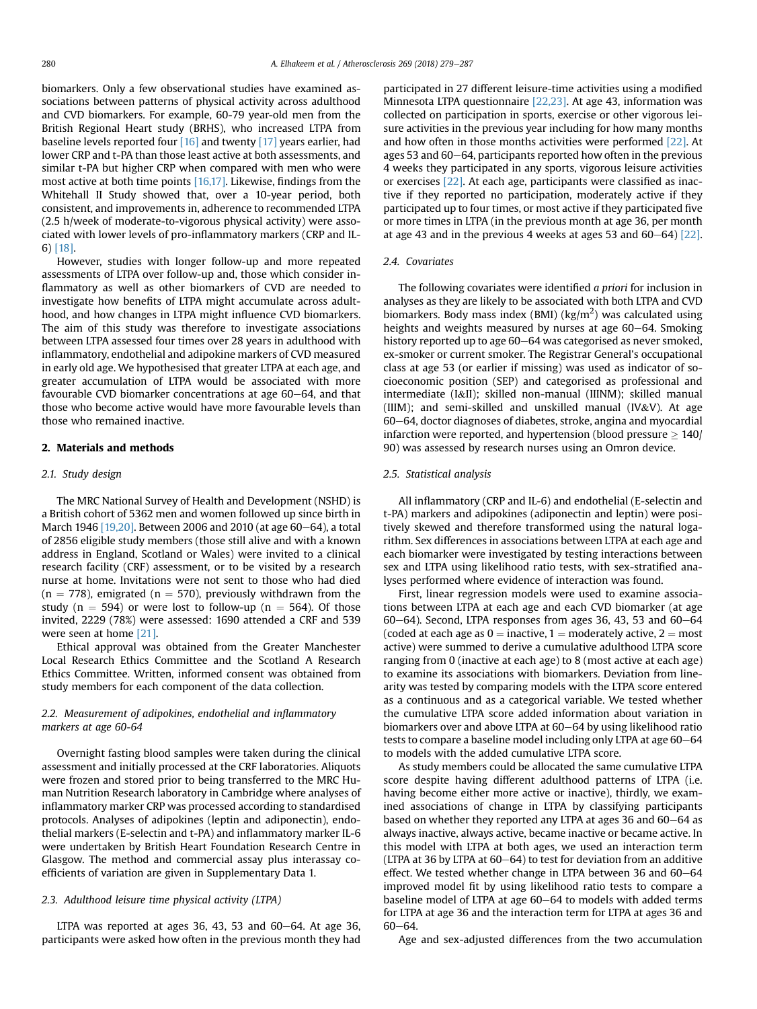biomarkers. Only a few observational studies have examined associations between patterns of physical activity across adulthood and CVD biomarkers. For example, 60-79 year-old men from the British Regional Heart study (BRHS), who increased LTPA from baseline levels reported four [\[16\]](#page-7-0) and twenty [\[17\]](#page-7-0) years earlier, had lower CRP and t-PA than those least active at both assessments, and similar t-PA but higher CRP when compared with men who were most active at both time points [\[16,17\].](#page-7-0) Likewise, findings from the Whitehall II Study showed that, over a 10-year period, both consistent, and improvements in, adherence to recommended LTPA (2.5 h/week of moderate-to-vigorous physical activity) were associated with lower levels of pro-inflammatory markers (CRP and IL-6) [\[18\].](#page-7-0)

However, studies with longer follow-up and more repeated assessments of LTPA over follow-up and, those which consider inflammatory as well as other biomarkers of CVD are needed to investigate how benefits of LTPA might accumulate across adulthood, and how changes in LTPA might influence CVD biomarkers. The aim of this study was therefore to investigate associations between LTPA assessed four times over 28 years in adulthood with inflammatory, endothelial and adipokine markers of CVD measured in early old age. We hypothesised that greater LTPA at each age, and greater accumulation of LTPA would be associated with more favourable CVD biomarker concentrations at age  $60-64$ , and that those who become active would have more favourable levels than those who remained inactive.

### 2. Materials and methods

#### 2.1. Study design

The MRC National Survey of Health and Development (NSHD) is a British cohort of 5362 men and women followed up since birth in March 1946  $[19,20]$ . Between 2006 and 2010 (at age 60-64), a total of 2856 eligible study members (those still alive and with a known address in England, Scotland or Wales) were invited to a clinical research facility (CRF) assessment, or to be visited by a research nurse at home. Invitations were not sent to those who had died  $(n = 778)$ , emigrated  $(n = 570)$ , previously withdrawn from the study (n = 594) or were lost to follow-up (n = 564). Of those invited, 2229 (78%) were assessed: 1690 attended a CRF and 539 were seen at home [\[21\].](#page-7-0)

Ethical approval was obtained from the Greater Manchester Local Research Ethics Committee and the Scotland A Research Ethics Committee. Written, informed consent was obtained from study members for each component of the data collection.

# 2.2. Measurement of adipokines, endothelial and inflammatory markers at age 60-64

Overnight fasting blood samples were taken during the clinical assessment and initially processed at the CRF laboratories. Aliquots were frozen and stored prior to being transferred to the MRC Human Nutrition Research laboratory in Cambridge where analyses of inflammatory marker CRP was processed according to standardised protocols. Analyses of adipokines (leptin and adiponectin), endothelial markers (E-selectin and t-PA) and inflammatory marker IL-6 were undertaken by British Heart Foundation Research Centre in Glasgow. The method and commercial assay plus interassay coefficients of variation are given in Supplementary Data 1.

#### 2.3. Adulthood leisure time physical activity (LTPA)

LTPA was reported at ages 36, 43, 53 and  $60-64$ . At age 36, participants were asked how often in the previous month they had participated in 27 different leisure-time activities using a modified Minnesota LTPA questionnaire [\[22,23\].](#page-7-0) At age 43, information was collected on participation in sports, exercise or other vigorous leisure activities in the previous year including for how many months and how often in those months activities were performed [\[22\]](#page-7-0). At ages 53 and  $60-64$ , participants reported how often in the previous 4 weeks they participated in any sports, vigorous leisure activities or exercises [\[22\]](#page-7-0). At each age, participants were classified as inactive if they reported no participation, moderately active if they participated up to four times, or most active if they participated five or more times in LTPA (in the previous month at age 36, per month at age 43 and in the previous 4 weeks at ages 53 and  $60-64$  [\[22\].](#page-7-0)

#### 2.4. Covariates

The following covariates were identified a priori for inclusion in analyses as they are likely to be associated with both LTPA and CVD biomarkers. Body mass index (BMI) ( $\text{kg/m}^2$ ) was calculated using heights and weights measured by nurses at age 60–64. Smoking history reported up to age 60–64 was categorised as never smoked, ex-smoker or current smoker. The Registrar General's occupational class at age 53 (or earlier if missing) was used as indicator of socioeconomic position (SEP) and categorised as professional and intermediate (I&II); skilled non-manual (IIINM); skilled manual (IIIM); and semi-skilled and unskilled manual (IV&V). At age 60–64, doctor diagnoses of diabetes, stroke, angina and myocardial infarction were reported, and hypertension (blood pressure  $> 140/$ 90) was assessed by research nurses using an Omron device.

#### 2.5. Statistical analysis

All inflammatory (CRP and IL-6) and endothelial (E-selectin and t-PA) markers and adipokines (adiponectin and leptin) were positively skewed and therefore transformed using the natural logarithm. Sex differences in associations between LTPA at each age and each biomarker were investigated by testing interactions between sex and LTPA using likelihood ratio tests, with sex-stratified analyses performed where evidence of interaction was found.

First, linear regression models were used to examine associations between LTPA at each age and each CVD biomarker (at age  $60-64$ ). Second, LTPA responses from ages 36, 43, 53 and  $60-64$ (coded at each age as  $0 =$  inactive, 1 = moderately active, 2 = most active) were summed to derive a cumulative adulthood LTPA score ranging from 0 (inactive at each age) to 8 (most active at each age) to examine its associations with biomarkers. Deviation from linearity was tested by comparing models with the LTPA score entered as a continuous and as a categorical variable. We tested whether the cumulative LTPA score added information about variation in biomarkers over and above LTPA at 60–64 by using likelihood ratio tests to compare a baseline model including only LTPA at age  $60-64$ to models with the added cumulative LTPA score.

As study members could be allocated the same cumulative LTPA score despite having different adulthood patterns of LTPA (i.e. having become either more active or inactive), thirdly, we examined associations of change in LTPA by classifying participants based on whether they reported any LTPA at ages 36 and 60–64 as always inactive, always active, became inactive or became active. In this model with LTPA at both ages, we used an interaction term (LTPA at 36 by LTPA at  $60-64$ ) to test for deviation from an additive effect. We tested whether change in LTPA between 36 and  $60-64$ improved model fit by using likelihood ratio tests to compare a baseline model of LTPA at age 60–64 to models with added terms for LTPA at age 36 and the interaction term for LTPA at ages 36 and  $60 - 64.$ 

Age and sex-adjusted differences from the two accumulation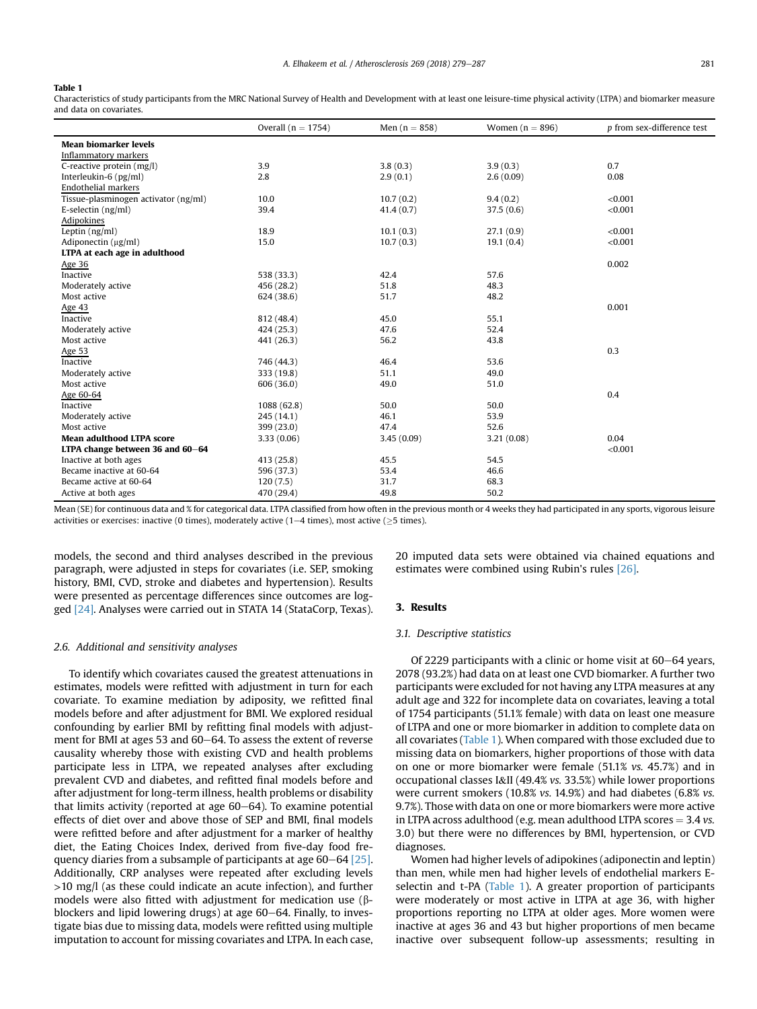#### <span id="page-2-0"></span>Table 1

Characteristics of study participants from the MRC National Survey of Health and Development with at least one leisure-time physical activity (LTPA) and biomarker measure and data on covariates.

|                                      | Overall $(n = 1754)$ | Men $(n = 858)$ | Women $(n = 896)$ | p from sex-difference test |
|--------------------------------------|----------------------|-----------------|-------------------|----------------------------|
| <b>Mean biomarker levels</b>         |                      |                 |                   |                            |
| Inflammatory markers                 |                      |                 |                   |                            |
| C-reactive protein (mg/l)            | 3.9                  | 3.8(0.3)        | 3.9(0.3)          | 0.7                        |
| Interleukin-6 (pg/ml)                | 2.8                  | 2.9(0.1)        | 2.6(0.09)         | 0.08                       |
| Endothelial markers                  |                      |                 |                   |                            |
| Tissue-plasminogen activator (ng/ml) | 10.0                 | 10.7(0.2)       | 9.4(0.2)          | < 0.001                    |
| E-selectin $(ng/ml)$                 | 39.4                 | 41.4(0.7)       | 37.5(0.6)         | < 0.001                    |
| Adipokines                           |                      |                 |                   |                            |
| Leptin $(ng/ml)$                     | 18.9                 | 10.1(0.3)       | 27.1(0.9)         | < 0.001                    |
| Adiponectin $(\mu g/ml)$             | 15.0                 | 10.7(0.3)       | 19.1(0.4)         | < 0.001                    |
| LTPA at each age in adulthood        |                      |                 |                   |                            |
| Age 36                               |                      |                 |                   | 0.002                      |
| Inactive                             | 538 (33.3)           | 42.4            | 57.6              |                            |
| Moderately active                    | 456 (28.2)           | 51.8            | 48.3              |                            |
| Most active                          | 624 (38.6)           | 51.7            | 48.2              |                            |
| Age 43                               |                      |                 |                   | 0.001                      |
| Inactive                             | 812 (48.4)           | 45.0            | 55.1              |                            |
| Moderately active                    | 424 (25.3)           | 47.6            | 52.4              |                            |
| Most active                          | 441 (26.3)           | 56.2            | 43.8              |                            |
| Age 53                               |                      |                 |                   | 0.3                        |
| Inactive                             | 746 (44.3)           | 46.4            | 53.6              |                            |
| Moderately active                    | 333 (19.8)           | 51.1            | 49.0              |                            |
| Most active                          | 606 (36.0)           | 49.0            | 51.0              |                            |
| Age 60-64                            |                      |                 |                   | 0.4                        |
| Inactive                             | 1088 (62.8)          | 50.0            | 50.0              |                            |
| Moderately active                    | 245 (14.1)           | 46.1            | 53.9              |                            |
| Most active                          | 399 (23.0)           | 47.4            | 52.6              |                            |
| <b>Mean adulthood LTPA score</b>     | 3.33(0.06)           | 3.45(0.09)      | 3.21(0.08)        | 0.04                       |
| LTPA change between 36 and 60-64     |                      |                 |                   | < 0.001                    |
| Inactive at both ages                | 413 (25.8)           | 45.5            | 54.5              |                            |
| Became inactive at 60-64             | 596 (37.3)           | 53.4            | 46.6              |                            |
| Became active at 60-64               | 120(7.5)             | 31.7            | 68.3              |                            |
| Active at both ages                  | 470 (29.4)           | 49.8            | 50.2              |                            |

Mean (SE) for continuous data and % for categorical data. LTPA classified from how often in the previous month or 4 weeks they had participated in any sports, vigorous leisure activities or exercises: inactive (0 times), moderately active (1–4 times), most active ( $\geq$ 5 times).

models, the second and third analyses described in the previous paragraph, were adjusted in steps for covariates (i.e. SEP, smoking history, BMI, CVD, stroke and diabetes and hypertension). Results were presented as percentage differences since outcomes are logged [\[24\].](#page-7-0) Analyses were carried out in STATA 14 (StataCorp, Texas).

#### 2.6. Additional and sensitivity analyses

To identify which covariates caused the greatest attenuations in estimates, models were refitted with adjustment in turn for each covariate. To examine mediation by adiposity, we refitted final models before and after adjustment for BMI. We explored residual confounding by earlier BMI by refitting final models with adjustment for BMI at ages 53 and  $60-64$ . To assess the extent of reverse causality whereby those with existing CVD and health problems participate less in LTPA, we repeated analyses after excluding prevalent CVD and diabetes, and refitted final models before and after adjustment for long-term illness, health problems or disability that limits activity (reported at age  $60-64$ ). To examine potential effects of diet over and above those of SEP and BMI, final models were refitted before and after adjustment for a marker of healthy diet, the Eating Choices Index, derived from five-day food frequency diaries from a subsample of participants at age  $60-64$  [\[25\].](#page-7-0) Additionally, CRP analyses were repeated after excluding levels >10 mg/l (as these could indicate an acute infection), and further models were also fitted with adjustment for medication use  $(\beta$ blockers and lipid lowering drugs) at age 60-64. Finally, to investigate bias due to missing data, models were refitted using multiple imputation to account for missing covariates and LTPA. In each case, 20 imputed data sets were obtained via chained equations and estimates were combined using Rubin's rules [\[26\].](#page-7-0)

### 3. Results

#### 3.1. Descriptive statistics

Of 2229 participants with a clinic or home visit at 60-64 years, 2078 (93.2%) had data on at least one CVD biomarker. A further two participants were excluded for not having any LTPA measures at any adult age and 322 for incomplete data on covariates, leaving a total of 1754 participants (51.1% female) with data on least one measure of LTPA and one or more biomarker in addition to complete data on all covariates (Table 1). When compared with those excluded due to missing data on biomarkers, higher proportions of those with data on one or more biomarker were female (51.1% vs. 45.7%) and in occupational classes I&II (49.4% vs. 33.5%) while lower proportions were current smokers (10.8% vs. 14.9%) and had diabetes (6.8% vs. 9.7%). Those with data on one or more biomarkers were more active in LTPA across adulthood (e.g. mean adulthood LTPA scores  $=$  3.4 vs. 3.0) but there were no differences by BMI, hypertension, or CVD diagnoses.

Women had higher levels of adipokines (adiponectin and leptin) than men, while men had higher levels of endothelial markers Eselectin and t-PA (Table 1). A greater proportion of participants were moderately or most active in LTPA at age 36, with higher proportions reporting no LTPA at older ages. More women were inactive at ages 36 and 43 but higher proportions of men became inactive over subsequent follow-up assessments; resulting in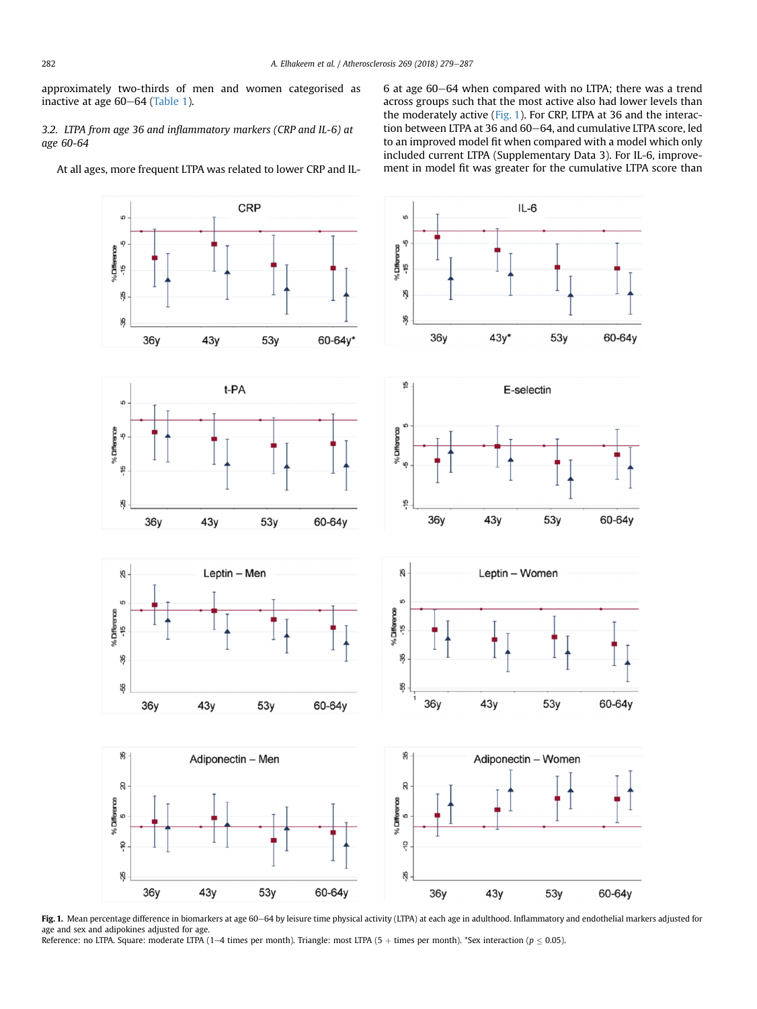<span id="page-3-0"></span>approximately two-thirds of men and women categorised as inactive at age  $60-64$  ([Table 1\)](#page-2-0).

3.2. LTPA from age 36 and inflammatory markers (CRP and IL-6) at age 60-64

At all ages, more frequent LTPA was related to lower CRP and IL-

6 at age 60–64 when compared with no LTPA; there was a trend across groups such that the most active also had lower levels than the moderately active (Fig. 1). For CRP, LTPA at 36 and the interaction between LTPA at 36 and 60-64, and cumulative LTPA score, led to an improved model fit when compared with a model which only included current LTPA (Supplementary Data 3). For IL-6, improvement in model fit was greater for the cumulative LTPA score than



Fig. 1. Mean percentage difference in biomarkers at age 60–64 by leisure time physical activity (LTPA) at each age in adulthood. Inflammatory and endothelial markers adjusted for age and sex and adipokines adjusted for age.

Reference: no LTPA. Square: moderate LTPA (1-4 times per month). Triangle: most LTPA (5 + times per month). \*Sex interaction ( $p \le 0.05$ ).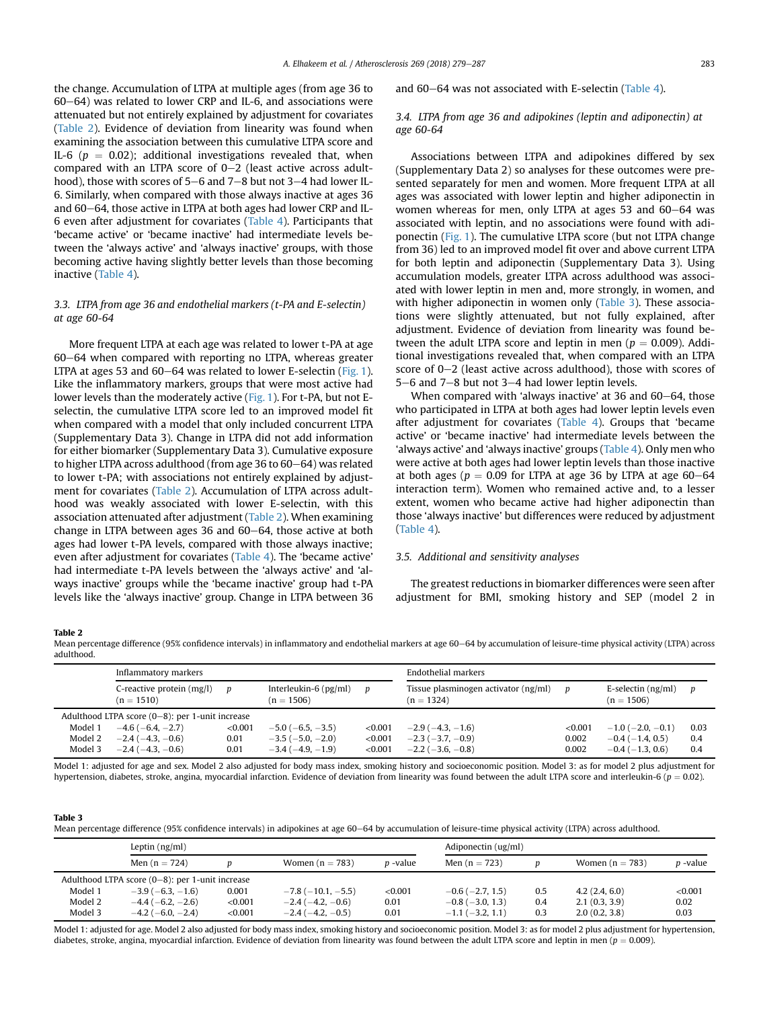<span id="page-4-0"></span>the change. Accumulation of LTPA at multiple ages (from age 36 to  $60-64$ ) was related to lower CRP and IL-6, and associations were attenuated but not entirely explained by adjustment for covariates (Table 2). Evidence of deviation from linearity was found when examining the association between this cumulative LTPA score and IL-6 ( $p = 0.02$ ); additional investigations revealed that, when compared with an LTPA score of  $0-2$  (least active across adulthood), those with scores of 5–6 and 7–8 but not 3–4 had lower IL-6. Similarly, when compared with those always inactive at ages 36 and 60–64, those active in LTPA at both ages had lower CRP and IL-6 even after adjustment for covariates [\(Table 4\)](#page-5-0). Participants that 'became active' or 'became inactive' had intermediate levels between the 'always active' and 'always inactive' groups, with those becoming active having slightly better levels than those becoming inactive ([Table 4\)](#page-5-0).

## 3.3. LTPA from age 36 and endothelial markers (t-PA and E-selectin) at age 60-64

More frequent LTPA at each age was related to lower t-PA at age 60-64 when compared with reporting no LTPA, whereas greater LTPA at ages 53 and  $60-64$  was related to lower E-selectin [\(Fig. 1\)](#page-3-0). Like the inflammatory markers, groups that were most active had lower levels than the moderately active ([Fig. 1\)](#page-3-0). For t-PA, but not Eselectin, the cumulative LTPA score led to an improved model fit when compared with a model that only included concurrent LTPA (Supplementary Data 3). Change in LTPA did not add information for either biomarker (Supplementary Data 3). Cumulative exposure to higher LTPA across adulthood (from age 36 to  $60-64$ ) was related to lower t-PA; with associations not entirely explained by adjustment for covariates (Table 2). Accumulation of LTPA across adulthood was weakly associated with lower E-selectin, with this association attenuated after adjustment (Table 2). When examining change in LTPA between ages 36 and  $60-64$ , those active at both ages had lower t-PA levels, compared with those always inactive; even after adjustment for covariates [\(Table 4](#page-5-0)). The 'became active' had intermediate t-PA levels between the 'always active' and 'always inactive' groups while the 'became inactive' group had t-PA levels like the 'always inactive' group. Change in LTPA between 36

#### and  $60-64$  was not associated with E-selectin [\(Table 4](#page-5-0)).

### 3.4. LTPA from age 36 and adipokines (leptin and adiponectin) at age 60-64

Associations between LTPA and adipokines differed by sex (Supplementary Data 2) so analyses for these outcomes were presented separately for men and women. More frequent LTPA at all ages was associated with lower leptin and higher adiponectin in women whereas for men, only LTPA at ages 53 and  $60-64$  was associated with leptin, and no associations were found with adiponectin [\(Fig. 1](#page-3-0)). The cumulative LTPA score (but not LTPA change from 36) led to an improved model fit over and above current LTPA for both leptin and adiponectin (Supplementary Data 3). Using accumulation models, greater LTPA across adulthood was associated with lower leptin in men and, more strongly, in women, and with higher adiponectin in women only (Table 3). These associations were slightly attenuated, but not fully explained, after adjustment. Evidence of deviation from linearity was found between the adult LTPA score and leptin in men ( $p = 0.009$ ). Additional investigations revealed that, when compared with an LTPA score of  $0-2$  (least active across adulthood), those with scores of  $5-6$  and  $7-8$  but not  $3-4$  had lower leptin levels.

When compared with 'always inactive' at 36 and  $60-64$ , those who participated in LTPA at both ages had lower leptin levels even after adjustment for covariates ([Table 4\)](#page-5-0). Groups that 'became active' or 'became inactive' had intermediate levels between the 'always active' and 'always inactive' groups [\(Table 4\)](#page-5-0). Only men who were active at both ages had lower leptin levels than those inactive at both ages ( $p = 0.09$  for LTPA at age 36 by LTPA at age 60–64 interaction term). Women who remained active and, to a lesser extent, women who became active had higher adiponectin than those 'always inactive' but differences were reduced by adjustment ([Table 4\)](#page-5-0).

### 3.5. Additional and sensitivity analyses

The greatest reductions in biomarker differences were seen after adjustment for BMI, smoking history and SEP (model 2 in

Table 2

Mean percentage difference (95% confidence intervals) in inflammatory and endothelial markers at age 60-64 by accumulation of leisure-time physical activity (LTPA) across adulthood.

|                                                 | Inflammatory markers                      |         |                                              | Endothelial markers |                                                      |         |                                      |      |
|-------------------------------------------------|-------------------------------------------|---------|----------------------------------------------|---------------------|------------------------------------------------------|---------|--------------------------------------|------|
|                                                 | C-reactive protein (mg/l)<br>$(n = 1510)$ | D       | Interleukin- $6$ ( $pg/ml$ )<br>$(n = 1506)$ | $\boldsymbol{p}$    | Tissue plasminogen activator (ng/ml)<br>$(n = 1324)$ | p       | E-selectin $(ng/ml)$<br>$(n = 1506)$ | D    |
| Adulthood LTPA score (0-8): per 1-unit increase |                                           |         |                                              |                     |                                                      |         |                                      |      |
| Model 1                                         | $-4.6(-6.4,-2.7)$                         | < 0.001 | $-5.0$ ( $-6.5, -3.5$ )                      | < 0.001             | $-2.9$ ( $-4.3$ , $-1.6$ )                           | < 0.001 | $-1.0$ ( $-2.0, -0.1$ )              | 0.03 |
| Model 2                                         | $-2.4(-4.3,-0.6)$                         | 0.01    | $-3.5(-5.0, -2.0)$                           | < 0.001             | $-2.3$ ( $-3.7, -0.9$ )                              | 0.002   | $-0.4$ ( $-1.4$ , 0.5)               | 0.4  |
| Model 3                                         | $-2.4(-4.3,-0.6)$                         | 0.01    | $-3.4(-4.9,-1.9)$                            | < 0.001             | $-2.2$ ( $-3.6, -0.8$ )                              | 0.002   | $-0.4$ ( $-1.3, 0.6$ )               | 0.4  |

Model 1: adjusted for age and sex. Model 2 also adjusted for body mass index, smoking history and socioeconomic position. Model 3: as for model 2 plus adjustment for hypertension, diabetes, stroke, angina, myocardial infarction. Evidence of deviation from linearity was found between the adult LTPA score and interleukin-6 ( $p = 0.02$ ).

#### Table 3

Mean percentage difference (95% confidence intervals) in adipokines at age 60–64 by accumulation of leisure-time physical activity (LTPA) across adulthood.

|                                                 | Leptin $(ng/ml)$        |         |                          |                 | Adiponectin (ug/ml)    |     |                   |                 |
|-------------------------------------------------|-------------------------|---------|--------------------------|-----------------|------------------------|-----|-------------------|-----------------|
|                                                 | Men $(n = 724)$         |         | Women $(n = 783)$        | <i>p</i> -value | Men $(n = 723)$        |     | Women $(n = 783)$ | <i>p</i> -value |
| Adulthood LTPA score (0-8): per 1-unit increase |                         |         |                          |                 |                        |     |                   |                 |
| Model 1                                         | $-3.9(-6.3,-1.6)$       | 0.001   | $-7.8$ ( $-10.1, -5.5$ ) | < 0.001         | $-0.6$ ( $-2.7$ , 1.5) | 0.5 | 4.2(2.4, 6.0)     | < 0.001         |
| Model 2                                         | $-4.4(-6.2,-2.6)$       | < 0.001 | $-2.4(-4.2,-0.6)$        | 0.01            | $-0.8$ ( $-3.0$ , 1.3) | 0.4 | 2.1(0.3, 3.9)     | 0.02            |
| Model 3                                         | $-4.2$ ( $-6.0, -2.4$ ) | < 0.001 | $-2.4(-4.2,-0.5)$        | 0.01            | $-1.1$ ( $-3.2$ , 1.1) | 0.3 | 2.0(0.2, 3.8)     | 0.03            |

Model 1: adjusted for age. Model 2 also adjusted for body mass index, smoking history and socioeconomic position. Model 3: as for model 2 plus adjustment for hypertension, diabetes, stroke, angina, myocardial infarction. Evidence of deviation from linearity was found between the adult LTPA score and leptin in men ( $p = 0.009$ ).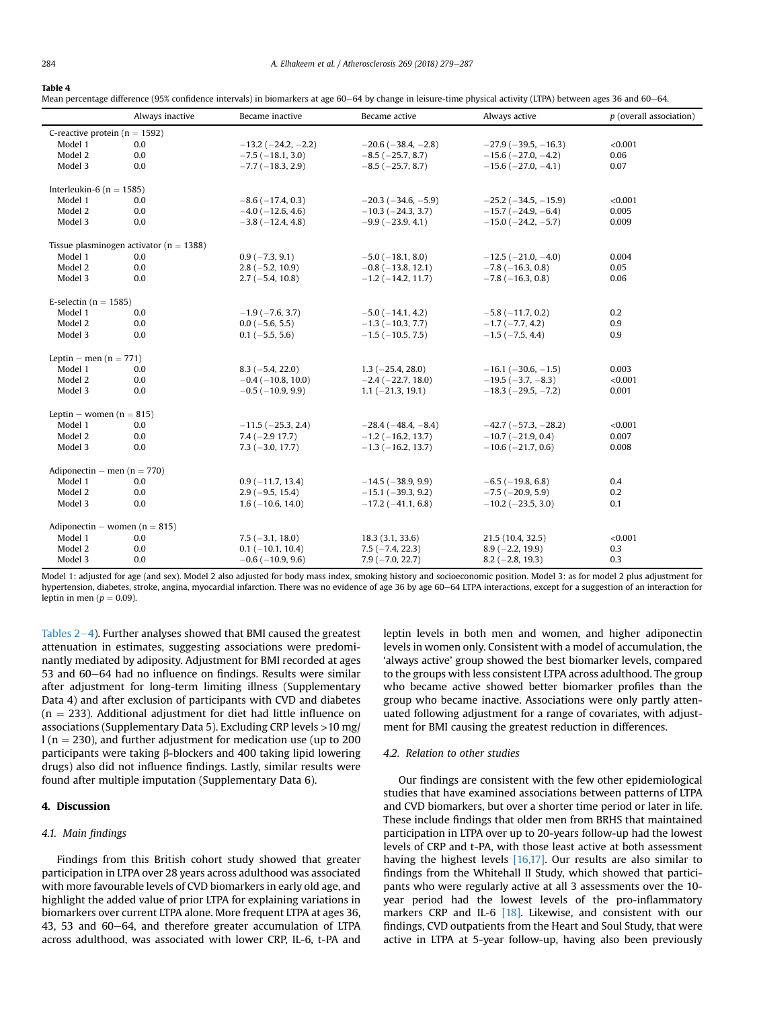#### <span id="page-5-0"></span>Table 4

Mean percentage difference (95% confidence intervals) in biomarkers at age 60–64 by change in leisure-time physical activity (LTPA) between ages 36 and 60–64.

|                                             | Always inactive | Became inactive              | Became active                | Always active                 | $p$ (overall association) |  |  |  |  |
|---------------------------------------------|-----------------|------------------------------|------------------------------|-------------------------------|---------------------------|--|--|--|--|
| C-reactive protein ( $n = 1592$ )           |                 |                              |                              |                               |                           |  |  |  |  |
| Model 1                                     | 0.0             | $-13.2$ ( $-24.2$ , $-2.2$ ) | $-20.6$ ( $-38.4$ , $-2.8$ ) | $-27.9$ ( $-39.5$ , $-16.3$ ) | < 0.001                   |  |  |  |  |
| Model 2                                     | 0.0             | $-7.5$ ( $-18.1$ , 3.0)      | $-8.5$ ( $-25.7$ , 8.7)      | $-15.6$ ( $-27.0, -4.2$ )     | 0.06                      |  |  |  |  |
| Model 3                                     | 0.0             | $-7.7$ ( $-18.3$ , 2.9)      | $-8.5$ ( $-25.7$ , 8.7)      | $-15.6$ ( $-27.0, -4.1$ )     | 0.07                      |  |  |  |  |
| Interleukin-6 ( $n = 1585$ )                |                 |                              |                              |                               |                           |  |  |  |  |
| Model 1                                     | 0.0             | $-8.6(-17.4, 0.3)$           | $-20.3$ ( $-34.6$ , $-5.9$ ) | $-25.2$ ( $-34.5$ , $-15.9$ ) | < 0.001                   |  |  |  |  |
| Model 2                                     | 0.0             | $-4.0$ ( $-12.6$ , 4.6)      | $-10.3$ ( $-24.3$ , 3.7)     | $-15.7(-24.9, -6.4)$          | 0.005                     |  |  |  |  |
| Model 3                                     | 0.0             | $-3.8(-12.4, 4.8)$           | $-9.9(-23.9, 4.1)$           | $-15.0$ ( $-24.2, -5.7$ )     | 0.009                     |  |  |  |  |
| Tissue plasminogen activator ( $n = 1388$ ) |                 |                              |                              |                               |                           |  |  |  |  |
| Model 1                                     | 0.0             | $0.9(-7.3, 9.1)$             | $-5.0$ ( $-18.1, 8.0$ )      | $-12.5$ ( $-21.0, -4.0$ )     | 0.004                     |  |  |  |  |
| Model 2                                     | 0.0             | $2.8(-5.2, 10.9)$            | $-0.8$ ( $-13.8$ , 12.1)     | $-7.8$ ( $-16.3$ , 0.8)       | 0.05                      |  |  |  |  |
| Model 3                                     | 0.0             | $2.7(-5.4, 10.8)$            | $-1.2$ ( $-14.2$ , 11.7)     | $-7.8$ ( $-16.3$ , 0.8)       | 0.06                      |  |  |  |  |
| E-selectin ( $n = 1585$ )                   |                 |                              |                              |                               |                           |  |  |  |  |
| Model 1                                     | 0.0             | $-1.9$ ( $-7.6$ , 3.7)       | $-5.0$ ( $-14.1, 4.2$ )      | $-5.8$ ( $-11.7$ , 0.2)       | 0.2                       |  |  |  |  |
| Model 2                                     | 0.0             | $0.0$ (-5.6, 5.5)            | $-1.3$ ( $-10.3$ , 7.7)      | $-1.7(-7.7, 4.2)$             | 0.9                       |  |  |  |  |
| Model 3                                     | 0.0             | $0.1$ (-5.5, 5.6)            | $-1.5$ ( $-10.5$ , 7.5)      | $-1.5$ ( $-7.5$ , 4.4)        | 0.9                       |  |  |  |  |
| Leptin – men $(n = 771)$                    |                 |                              |                              |                               |                           |  |  |  |  |
| Model 1                                     | 0.0             | $8.3(-5.4, 22.0)$            | $1.3(-25.4, 28.0)$           | $-16.1$ ( $-30.6$ , $-1.5$ )  | 0.003                     |  |  |  |  |
| Model 2                                     | 0.0             | $-0.4$ ( $-10.8$ , 10.0)     | $-2.4$ ( $-22.7$ , 18.0)     | $-19.5(-3.7, -8.3)$           | < 0.001                   |  |  |  |  |
| Model 3                                     | 0.0             | $-0.5$ ( $-10.9$ , 9.9)      | $1.1 (-21.3, 19.1)$          | $-18.3(-29.5, -7.2)$          | 0.001                     |  |  |  |  |
| Leptin – women ( $n = 815$ )                |                 |                              |                              |                               |                           |  |  |  |  |
| Model 1                                     | 0.0             | $-11.5$ ( $-25.3$ , 2.4)     | $-28.4(-48.4, -8.4)$         | $-42.7(-57.3,-28.2)$          | < 0.001                   |  |  |  |  |
| Model 2                                     | 0.0             | $7.4(-2.917.7)$              | $-1.2$ ( $-16.2$ , 13.7)     | $-10.7$ ( $-21.9$ , 0.4)      | 0.007                     |  |  |  |  |
| Model 3                                     | 0.0             | $7.3(-3.0, 17.7)$            | $-1.3$ ( $-16.2$ , 13.7)     | $-10.6$ ( $-21.7, 0.6$ )      | 0.008                     |  |  |  |  |
| Adiponectin – men ( $n = 770$ )             |                 |                              |                              |                               |                           |  |  |  |  |
| Model 1                                     | 0.0             | $0.9(-11.7, 13.4)$           | $-14.5$ ( $-38.9$ , 9.9)     | $-6.5$ ( $-19.8$ , 6.8)       | 0.4                       |  |  |  |  |
| Model 2                                     | 0.0             | $2.9(-9.5, 15.4)$            | $-15.1$ ( $-39.3$ , 9.2)     | $-7.5$ ( $-20.9$ , 5.9)       | 0.2                       |  |  |  |  |
| Model 3                                     | 0.0             | $1.6(-10.6, 14.0)$           | $-17.2$ ( $-41.1, 6.8$ )     | $-10.2$ ( $-23.5$ , 3.0)      | 0.1                       |  |  |  |  |
| Adiponectin – women ( $n = 815$ )           |                 |                              |                              |                               |                           |  |  |  |  |
| Model 1                                     | 0.0             | $7.5(-3.1, 18.0)$            | 18.3(3.1, 33.6)              | 21.5 (10.4, 32.5)             | < 0.001                   |  |  |  |  |
| Model 2                                     | 0.0             | $0.1 (-10.1, 10.4)$          | $7.5(-7.4, 22.3)$            | $8.9(-2.2, 19.9)$             | 0.3                       |  |  |  |  |
| Model 3                                     | 0.0             | $-0.6$ ( $-10.9$ , 9.6)      | $7.9(-7.0, 22.7)$            | $8.2$ (-2.8, 19.3)            | 0.3                       |  |  |  |  |

Model 1: adjusted for age (and sex). Model 2 also adjusted for body mass index, smoking history and socioeconomic position. Model 3: as for model 2 plus adjustment for hypertension, diabetes, stroke, angina, myocardial infarction. There was no evidence of age 36 by age 60-64 LTPA interactions, except for a suggestion of an interaction for leptin in men ( $p = 0.09$ ).

Tables  $2-4$  $2-4$ ). Further analyses showed that BMI caused the greatest attenuation in estimates, suggesting associations were predominantly mediated by adiposity. Adjustment for BMI recorded at ages 53 and 60-64 had no influence on findings. Results were similar after adjustment for long-term limiting illness (Supplementary Data 4) and after exclusion of participants with CVD and diabetes  $(n = 233)$ . Additional adjustment for diet had little influence on associations (Supplementary Data 5). Excluding CRP levels >10 mg/  $l$  (n = 230), and further adjustment for medication use (up to 200 participants were taking  $\beta$ -blockers and 400 taking lipid lowering drugs) also did not influence findings. Lastly, similar results were found after multiple imputation (Supplementary Data 6).

# 4. Discussion

#### 4.1. Main findings

Findings from this British cohort study showed that greater participation in LTPA over 28 years across adulthood was associated with more favourable levels of CVD biomarkers in early old age, and highlight the added value of prior LTPA for explaining variations in biomarkers over current LTPA alone. More frequent LTPA at ages 36, 43, 53 and 60-64, and therefore greater accumulation of LTPA across adulthood, was associated with lower CRP, IL-6, t-PA and leptin levels in both men and women, and higher adiponectin levels in women only. Consistent with a model of accumulation, the 'always active' group showed the best biomarker levels, compared to the groups with less consistent LTPA across adulthood. The group who became active showed better biomarker profiles than the group who became inactive. Associations were only partly attenuated following adjustment for a range of covariates, with adjustment for BMI causing the greatest reduction in differences.

#### 4.2. Relation to other studies

Our findings are consistent with the few other epidemiological studies that have examined associations between patterns of LTPA and CVD biomarkers, but over a shorter time period or later in life. These include findings that older men from BRHS that maintained participation in LTPA over up to 20-years follow-up had the lowest levels of CRP and t-PA, with those least active at both assessment having the highest levels  $[16,17]$ . Our results are also similar to findings from the Whitehall II Study, which showed that participants who were regularly active at all 3 assessments over the 10 year period had the lowest levels of the pro-inflammatory markers CRP and IL-6 [\[18\].](#page-7-0) Likewise, and consistent with our findings, CVD outpatients from the Heart and Soul Study, that were active in LTPA at 5-year follow-up, having also been previously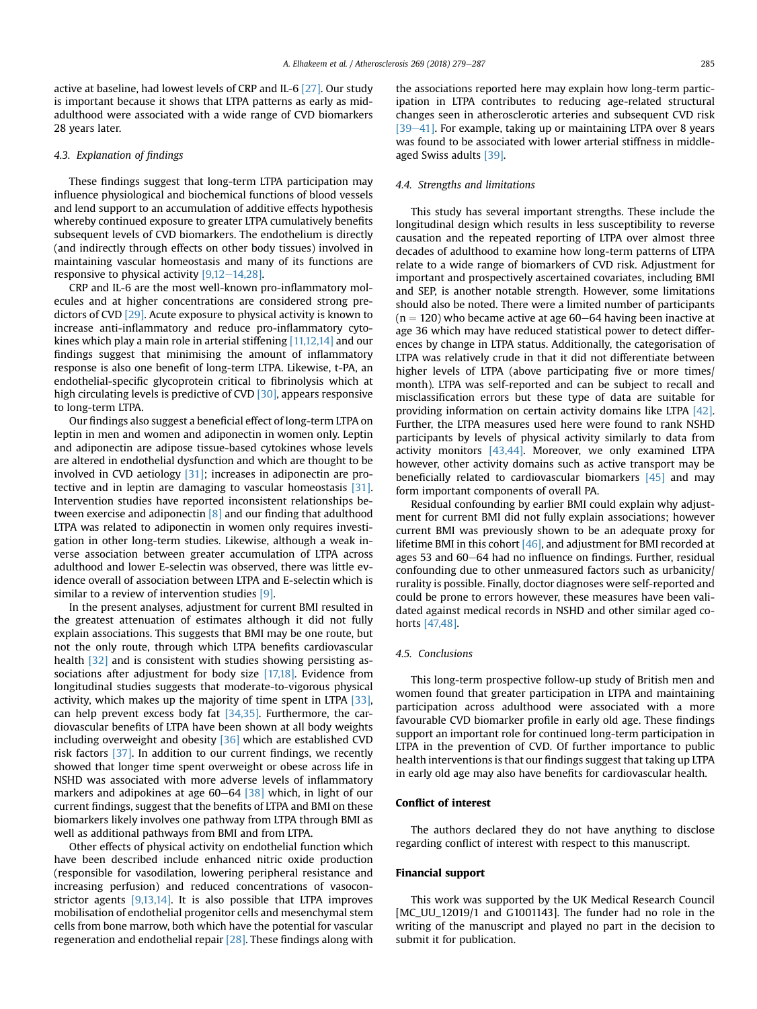active at baseline, had lowest levels of CRP and IL-6 [\[27\]](#page-7-0). Our study is important because it shows that LTPA patterns as early as midadulthood were associated with a wide range of CVD biomarkers 28 years later.

## 4.3. Explanation of findings

These findings suggest that long-term LTPA participation may influence physiological and biochemical functions of blood vessels and lend support to an accumulation of additive effects hypothesis whereby continued exposure to greater LTPA cumulatively benefits subsequent levels of CVD biomarkers. The endothelium is directly (and indirectly through effects on other body tissues) involved in maintaining vascular homeostasis and many of its functions are responsive to physical activity  $[9,12-14,28]$  $[9,12-14,28]$  $[9,12-14,28]$ .

CRP and IL-6 are the most well-known pro-inflammatory molecules and at higher concentrations are considered strong predictors of CVD [\[29\]](#page-7-0). Acute exposure to physical activity is known to increase anti-inflammatory and reduce pro-inflammatory cyto-kines which play a main role in arterial stiffening [\[11,12,14\]](#page-7-0) and our findings suggest that minimising the amount of inflammatory response is also one benefit of long-term LTPA. Likewise, t-PA, an endothelial-specific glycoprotein critical to fibrinolysis which at high circulating levels is predictive of CVD [\[30\],](#page-7-0) appears responsive to long-term LTPA.

Our findings also suggest a beneficial effect of long-term LTPA on leptin in men and women and adiponectin in women only. Leptin and adiponectin are adipose tissue-based cytokines whose levels are altered in endothelial dysfunction and which are thought to be involved in CVD aetiology [\[31\]](#page-7-0); increases in adiponectin are protective and in leptin are damaging to vascular homeostasis [\[31\].](#page-7-0) Intervention studies have reported inconsistent relationships between exercise and adiponectin [\[8\]](#page-7-0) and our finding that adulthood LTPA was related to adiponectin in women only requires investigation in other long-term studies. Likewise, although a weak inverse association between greater accumulation of LTPA across adulthood and lower E-selectin was observed, there was little evidence overall of association between LTPA and E-selectin which is similar to a review of intervention studies [\[9\]](#page-7-0).

In the present analyses, adjustment for current BMI resulted in the greatest attenuation of estimates although it did not fully explain associations. This suggests that BMI may be one route, but not the only route, through which LTPA benefits cardiovascular health [\[32\]](#page-7-0) and is consistent with studies showing persisting associations after adjustment for body size [\[17,18\].](#page-7-0) Evidence from longitudinal studies suggests that moderate-to-vigorous physical activity, which makes up the majority of time spent in LTPA [\[33\],](#page-7-0) can help prevent excess body fat [\[34,35\].](#page-7-0) Furthermore, the cardiovascular benefits of LTPA have been shown at all body weights including overweight and obesity [\[36\]](#page-7-0) which are established CVD risk factors [\[37\].](#page-7-0) In addition to our current findings, we recently showed that longer time spent overweight or obese across life in NSHD was associated with more adverse levels of inflammatory markers and adipokines at age  $60-64$  [\[38\]](#page-7-0) which, in light of our current findings, suggest that the benefits of LTPA and BMI on these biomarkers likely involves one pathway from LTPA through BMI as well as additional pathways from BMI and from LTPA.

Other effects of physical activity on endothelial function which have been described include enhanced nitric oxide production (responsible for vasodilation, lowering peripheral resistance and increasing perfusion) and reduced concentrations of vasoconstrictor agents [\[9,13,14\]](#page-7-0). It is also possible that LTPA improves mobilisation of endothelial progenitor cells and mesenchymal stem cells from bone marrow, both which have the potential for vascular regeneration and endothelial repair [\[28\]](#page-7-0). These findings along with the associations reported here may explain how long-term participation in LTPA contributes to reducing age-related structural changes seen in atherosclerotic arteries and subsequent CVD risk [\[39](#page-7-0)-[41\]](#page-7-0). For example, taking up or maintaining LTPA over 8 years was found to be associated with lower arterial stiffness in middleaged Swiss adults [\[39\]](#page-7-0).

#### 4.4. Strengths and limitations

This study has several important strengths. These include the longitudinal design which results in less susceptibility to reverse causation and the repeated reporting of LTPA over almost three decades of adulthood to examine how long-term patterns of LTPA relate to a wide range of biomarkers of CVD risk. Adjustment for important and prospectively ascertained covariates, including BMI and SEP, is another notable strength. However, some limitations should also be noted. There were a limited number of participants  $(n = 120)$  who became active at age 60–64 having been inactive at age 36 which may have reduced statistical power to detect differences by change in LTPA status. Additionally, the categorisation of LTPA was relatively crude in that it did not differentiate between higher levels of LTPA (above participating five or more times/ month). LTPA was self-reported and can be subject to recall and misclassification errors but these type of data are suitable for providing information on certain activity domains like LTPA [\[42\].](#page-8-0) Further, the LTPA measures used here were found to rank NSHD participants by levels of physical activity similarly to data from activity monitors [\[43,44\].](#page-8-0) Moreover, we only examined LTPA however, other activity domains such as active transport may be beneficially related to cardiovascular biomarkers [\[45\]](#page-8-0) and may form important components of overall PA.

Residual confounding by earlier BMI could explain why adjustment for current BMI did not fully explain associations; however current BMI was previously shown to be an adequate proxy for lifetime BMI in this cohort [\[46\]](#page-8-0), and adjustment for BMI recorded at ages 53 and 60-64 had no influence on findings. Further, residual confounding due to other unmeasured factors such as urbanicity/ rurality is possible. Finally, doctor diagnoses were self-reported and could be prone to errors however, these measures have been validated against medical records in NSHD and other similar aged cohorts [\[47,48\]](#page-8-0).

#### 4.5. Conclusions

This long-term prospective follow-up study of British men and women found that greater participation in LTPA and maintaining participation across adulthood were associated with a more favourable CVD biomarker profile in early old age. These findings support an important role for continued long-term participation in LTPA in the prevention of CVD. Of further importance to public health interventions is that our findings suggest that taking up LTPA in early old age may also have benefits for cardiovascular health.

### Conflict of interest

The authors declared they do not have anything to disclose regarding conflict of interest with respect to this manuscript.

#### Financial support

This work was supported by the UK Medical Research Council [MC\_UU\_12019/1 and G1001143]. The funder had no role in the writing of the manuscript and played no part in the decision to submit it for publication.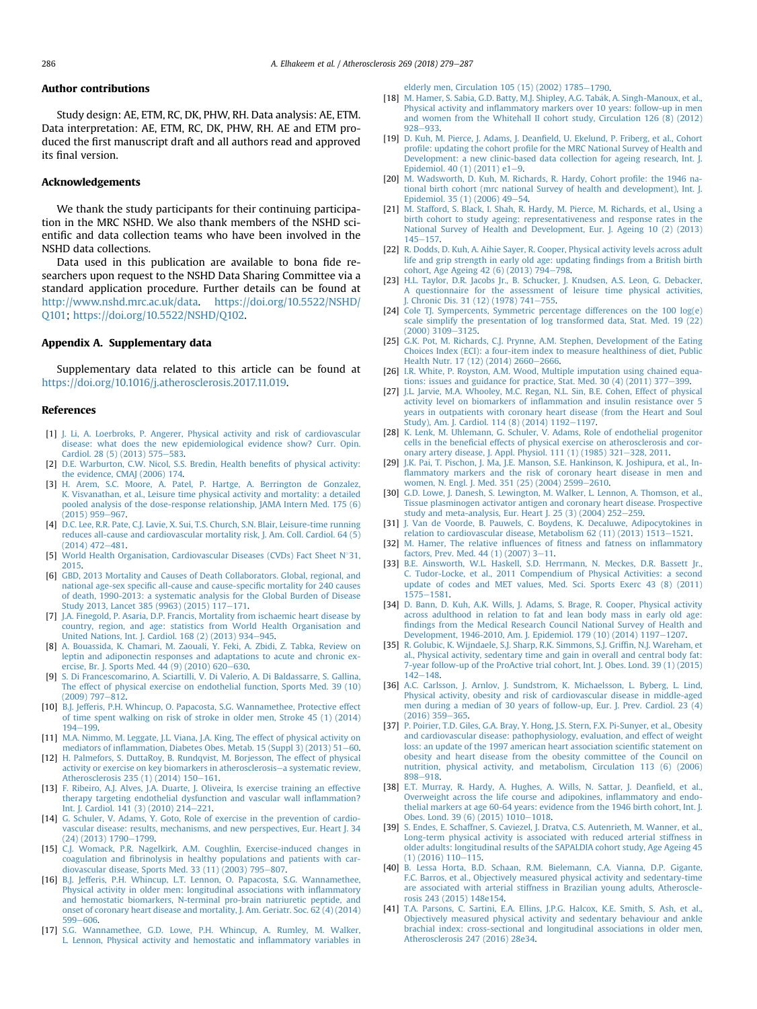#### <span id="page-7-0"></span>Author contributions

Study design: AE, ETM, RC, DK, PHW, RH. Data analysis: AE, ETM. Data interpretation: AE, ETM, RC, DK, PHW, RH. AE and ETM produced the first manuscript draft and all authors read and approved its final version.

#### Acknowledgements

We thank the study participants for their continuing participation in the MRC NSHD. We also thank members of the NSHD scientific and data collection teams who have been involved in the NSHD data collections.

Data used in this publication are available to bona fide researchers upon request to the NSHD Data Sharing Committee via a standard application procedure. Further details can be found at [http://www.nshd.mrc.ac.uk/data.](http://www.nshd.mrc.ac.uk/data) [https://doi.org/10.5522/NSHD/](https://doi.org/10.5522/NSHD/Q101) [Q101](https://doi.org/10.5522/NSHD/Q101); <https://doi.org/10.5522/NSHD/Q102>.

#### Appendix A. Supplementary data

Supplementary data related to this article can be found at <https://doi.org/10.1016/j.atherosclerosis.2017.11.019>.

#### References

- [1] [J. Li, A. Loerbroks, P. Angerer, Physical activity and risk of cardiovascular](http://refhub.elsevier.com/S0021-9150(17)31389-8/sref1) [disease: what does the new epidemiological evidence show? Curr. Opin.](http://refhub.elsevier.com/S0021-9150(17)31389-8/sref1) [Cardiol. 28 \(5\) \(2013\) 575](http://refhub.elsevier.com/S0021-9150(17)31389-8/sref1)-[583.](http://refhub.elsevier.com/S0021-9150(17)31389-8/sref1)
- [2] [D.E. Warburton, C.W. Nicol, S.S. Bredin, Health bene](http://refhub.elsevier.com/S0021-9150(17)31389-8/sref2)fits of physical activity: [the evidence, CMAJ \(2006\) 174.](http://refhub.elsevier.com/S0021-9150(17)31389-8/sref2)
- [3] [H. Arem, S.C. Moore, A. Patel, P. Hartge, A. Berrington de Gonzalez,](http://refhub.elsevier.com/S0021-9150(17)31389-8/sref3) [K. Visvanathan, et al., Leisure time physical activity and mortality: a detailed](http://refhub.elsevier.com/S0021-9150(17)31389-8/sref3) [pooled analysis of the dose-response relationship, JAMA Intern Med. 175 \(6\)](http://refhub.elsevier.com/S0021-9150(17)31389-8/sref3)  $(2015)$  959 $-967$ .
- [4] [D.C. Lee, R.R. Pate, C.J. Lavie, X. Sui, T.S. Church, S.N. Blair, Leisure-time running](http://refhub.elsevier.com/S0021-9150(17)31389-8/sref4) [reduces all-cause and cardiovascular mortality risk, J. Am. Coll. Cardiol. 64 \(5\)](http://refhub.elsevier.com/S0021-9150(17)31389-8/sref4)  $(2014)$  472-[481.](http://refhub.elsevier.com/S0021-9150(17)31389-8/sref4)
- [5] [World Health Organisation, Cardiovascular Diseases \(CVDs\) Fact Sheet N](http://refhub.elsevier.com/S0021-9150(17)31389-8/sref5)°[31,](http://refhub.elsevier.com/S0021-9150(17)31389-8/sref5) [2015.](http://refhub.elsevier.com/S0021-9150(17)31389-8/sref5)
- [6] [GBD, 2013 Mortality and Causes of Death Collaborators. Global, regional, and](http://refhub.elsevier.com/S0021-9150(17)31389-8/sref6) national age-sex specifi[c all-cause and cause-speci](http://refhub.elsevier.com/S0021-9150(17)31389-8/sref6)fic mortality for 240 causes [of death, 1990-2013: a systematic analysis for the Global Burden of Disease](http://refhub.elsevier.com/S0021-9150(17)31389-8/sref6) [Study 2013, Lancet 385 \(9963\) \(2015\) 117](http://refhub.elsevier.com/S0021-9150(17)31389-8/sref6)-[171.](http://refhub.elsevier.com/S0021-9150(17)31389-8/sref6)
- [7] [J.A. Finegold, P. Asaria, D.P. Francis, Mortality from ischaemic heart disease by](http://refhub.elsevier.com/S0021-9150(17)31389-8/sref7) [country, region, and age: statistics from World Health Organisation and](http://refhub.elsevier.com/S0021-9150(17)31389-8/sref7) [United Nations, Int. J. Cardiol. 168 \(2\) \(2013\) 934](http://refhub.elsevier.com/S0021-9150(17)31389-8/sref7)–[945.](http://refhub.elsevier.com/S0021-9150(17)31389-8/sref7)
- [8] [A. Bouassida, K. Chamari, M. Zaouali, Y. Feki, A. Zbidi, Z. Tabka, Review on](http://refhub.elsevier.com/S0021-9150(17)31389-8/sref8) [leptin and adiponectin responses and adaptations to acute and chronic ex](http://refhub.elsevier.com/S0021-9150(17)31389-8/sref8)ercise, Br. I. Sports Med.  $44(9)(2010)(620-630)$  $44(9)(2010)(620-630)$  $44(9)(2010)(620-630)$ .
- [9] [S. Di Francescomarino, A. Sciartilli, V. Di Valerio, A. Di Baldassarre, S. Gallina,](http://refhub.elsevier.com/S0021-9150(17)31389-8/sref9) [The effect of physical exercise on endothelial function, Sports Med. 39 \(10\)](http://refhub.elsevier.com/S0021-9150(17)31389-8/sref9)  $(2009)$  797 $-812$ .
- [10] [B.J. Jefferis, P.H. Whincup, O. Papacosta, S.G. Wannamethee, Protective effect](http://refhub.elsevier.com/S0021-9150(17)31389-8/sref10) [of time spent walking on risk of stroke in older men, Stroke 45 \(1\) \(2014\)](http://refhub.elsevier.com/S0021-9150(17)31389-8/sref10)  $194 - 199$  $194 - 199$
- [11] [M.A. Nimmo, M. Leggate, J.L. Viana, J.A. King, The effect of physical activity on](http://refhub.elsevier.com/S0021-9150(17)31389-8/sref11) mediators of infl[ammation, Diabetes Obes. Metab. 15 \(Suppl 3\) \(2013\) 51](http://refhub.elsevier.com/S0021-9150(17)31389-8/sref11)-[60](http://refhub.elsevier.com/S0021-9150(17)31389-8/sref11).
- [12] [H. Palmefors, S. DuttaRoy, B. Rundqvist, M. Borjesson, The effect of physical](http://refhub.elsevier.com/S0021-9150(17)31389-8/sref12) [activity or exercise on key biomarkers in atherosclerosis](http://refhub.elsevier.com/S0021-9150(17)31389-8/sref12)-[a systematic review,](http://refhub.elsevier.com/S0021-9150(17)31389-8/sref12) [Atherosclerosis 235 \(1\) \(2014\) 150](http://refhub.elsevier.com/S0021-9150(17)31389-8/sref12)-[161.](http://refhub.elsevier.com/S0021-9150(17)31389-8/sref12)
- [13] [F. Ribeiro, A.J. Alves, J.A. Duarte, J. Oliveira, Is exercise training an effective](http://refhub.elsevier.com/S0021-9150(17)31389-8/sref13) [therapy targeting endothelial dysfunction and vascular wall in](http://refhub.elsevier.com/S0021-9150(17)31389-8/sref13)flammation? [Int. J. Cardiol. 141 \(3\) \(2010\) 214](http://refhub.elsevier.com/S0021-9150(17)31389-8/sref13)-[221.](http://refhub.elsevier.com/S0021-9150(17)31389-8/sref13)
- [14] [G. Schuler, V. Adams, Y. Goto, Role of exercise in the prevention of cardio](http://refhub.elsevier.com/S0021-9150(17)31389-8/sref14)[vascular disease: results, mechanisms, and new perspectives, Eur. Heart J. 34](http://refhub.elsevier.com/S0021-9150(17)31389-8/sref14)  $(24)$   $(2013)$   $1790 - 1799$  $1790 - 1799$ .
- [15] [C.J. Womack, P.R. Nagelkirk, A.M. Coughlin, Exercise-induced changes in](http://refhub.elsevier.com/S0021-9150(17)31389-8/sref15) coagulation and fi[brinolysis in healthy populations and patients with car](http://refhub.elsevier.com/S0021-9150(17)31389-8/sref15)[diovascular disease, Sports Med. 33 \(11\) \(2003\) 795](http://refhub.elsevier.com/S0021-9150(17)31389-8/sref15)-[807.](http://refhub.elsevier.com/S0021-9150(17)31389-8/sref15)
- [16] [B.J. Jefferis, P.H. Whincup, L.T. Lennon, O. Papacosta, S.G. Wannamethee,](http://refhub.elsevier.com/S0021-9150(17)31389-8/sref16) [Physical activity in older men: longitudinal associations with in](http://refhub.elsevier.com/S0021-9150(17)31389-8/sref16)flammatory [and hemostatic biomarkers, N-terminal pro-brain natriuretic peptide, and](http://refhub.elsevier.com/S0021-9150(17)31389-8/sref16) [onset of coronary heart disease and mortality, J. Am. Geriatr. Soc. 62 \(4\) \(2014\)](http://refhub.elsevier.com/S0021-9150(17)31389-8/sref16) [599](http://refhub.elsevier.com/S0021-9150(17)31389-8/sref16)-606
- [17] [S.G. Wannamethee, G.D. Lowe, P.H. Whincup, A. Rumley, M. Walker,](http://refhub.elsevier.com/S0021-9150(17)31389-8/sref17) [L. Lennon, Physical activity and hemostatic and in](http://refhub.elsevier.com/S0021-9150(17)31389-8/sref17)flammatory variables in

elderly men, Circulation  $105(15)(2002)$  1785-[1790.](http://refhub.elsevier.com/S0021-9150(17)31389-8/sref17)

- [18] M. Hamer, S. Sabia, G.D. Batty, M.J. Shipley, A.G. Tabák, A. Singh-Manoux, et al., Physical activity and infl[ammatory markers over 10 years: follow-up in men](http://refhub.elsevier.com/S0021-9150(17)31389-8/sref18) [and women from the Whitehall II cohort study, Circulation 126 \(8\) \(2012\)](http://refhub.elsevier.com/S0021-9150(17)31389-8/sref18) [928](http://refhub.elsevier.com/S0021-9150(17)31389-8/sref18)-933
- [19] D. Kuh, M. Pierce, J. Adams, J. Deanfi[eld, U. Ekelund, P. Friberg, et al., Cohort](http://refhub.elsevier.com/S0021-9150(17)31389-8/sref19) profile: updating the cohort profi[le for the MRC National Survey of Health and](http://refhub.elsevier.com/S0021-9150(17)31389-8/sref19) [Development: a new clinic-based data collection for ageing research, Int. J.](http://refhub.elsevier.com/S0021-9150(17)31389-8/sref19) [Epidemiol. 40 \(1\) \(2011\) e1](http://refhub.elsevier.com/S0021-9150(17)31389-8/sref19)-[9](http://refhub.elsevier.com/S0021-9150(17)31389-8/sref19).
- [20] [M. Wadsworth, D. Kuh, M. Richards, R. Hardy, Cohort pro](http://refhub.elsevier.com/S0021-9150(17)31389-8/sref20)file: the 1946 na[tional birth cohort \(mrc national Survey of health and development\), Int. J.](http://refhub.elsevier.com/S0021-9150(17)31389-8/sref20) Epidemiol. 35 (1) (2006)  $49-54$ .
- [21] [M. Stafford, S. Black, I. Shah, R. Hardy, M. Pierce, M. Richards, et al., Using a](http://refhub.elsevier.com/S0021-9150(17)31389-8/sref21) [birth cohort to study ageing: representativeness and response rates in the](http://refhub.elsevier.com/S0021-9150(17)31389-8/sref21) [National Survey of Health and Development, Eur. J. Ageing 10 \(2\) \(2013\)](http://refhub.elsevier.com/S0021-9150(17)31389-8/sref21)  $145 - 157.$  $145 - 157.$  $145 - 157.$
- [22] [R. Dodds, D. Kuh, A. Aihie Sayer, R. Cooper, Physical activity levels across adult](http://refhub.elsevier.com/S0021-9150(17)31389-8/sref22) [life and grip strength in early old age: updating](http://refhub.elsevier.com/S0021-9150(17)31389-8/sref22) findings from a British birth [cohort, Age Ageing 42 \(6\) \(2013\) 794](http://refhub.elsevier.com/S0021-9150(17)31389-8/sref22)-[798.](http://refhub.elsevier.com/S0021-9150(17)31389-8/sref22)
- [23] [H.L. Taylor, D.R. Jacobs Jr., B. Schucker, J. Knudsen, A.S. Leon, G. Debacker,](http://refhub.elsevier.com/S0021-9150(17)31389-8/sref23) [A questionnaire for the assessment of leisure time physical activities,](http://refhub.elsevier.com/S0021-9150(17)31389-8/sref23) [J. Chronic Dis. 31 \(12\) \(1978\) 741](http://refhub.elsevier.com/S0021-9150(17)31389-8/sref23)-[755](http://refhub.elsevier.com/S0021-9150(17)31389-8/sref23).
- [24] [Cole TJ. Sympercents, Symmetric percentage differences on the 100 log\(e\)](http://refhub.elsevier.com/S0021-9150(17)31389-8/sref24) [scale simplify the presentation of log transformed data, Stat. Med. 19 \(22\)](http://refhub.elsevier.com/S0021-9150(17)31389-8/sref24)  $(2000)$  3109 $-3125$ .
- [25] [G.K. Pot, M. Richards, C.J. Prynne, A.M. Stephen, Development of the Eating](http://refhub.elsevier.com/S0021-9150(17)31389-8/sref25) [Choices Index \(ECI\): a four-item index to measure healthiness of diet, Public](http://refhub.elsevier.com/S0021-9150(17)31389-8/sref25) [Health Nutr. 17 \(12\) \(2014\) 2660](http://refhub.elsevier.com/S0021-9150(17)31389-8/sref25)-[2666.](http://refhub.elsevier.com/S0021-9150(17)31389-8/sref25)
- [26] [I.R. White, P. Royston, A.M. Wood, Multiple imputation using chained equa](http://refhub.elsevier.com/S0021-9150(17)31389-8/sref26)tions: issues and guidance for practice, Stat. Med. 30  $(4)$   $(2011)$  377-[399.](http://refhub.elsevier.com/S0021-9150(17)31389-8/sref26)
- [27] [J.L. Jarvie, M.A. Whooley, M.C. Regan, N.L. Sin, B.E. Cohen, Effect of physical](http://refhub.elsevier.com/S0021-9150(17)31389-8/sref27) activity level on biomarkers of infl[ammation and insulin resistance over 5](http://refhub.elsevier.com/S0021-9150(17)31389-8/sref27) [years in outpatients with coronary heart disease \(from the Heart and Soul](http://refhub.elsevier.com/S0021-9150(17)31389-8/sref27) [Study\), Am. J. Cardiol. 114 \(8\) \(2014\) 1192](http://refhub.elsevier.com/S0021-9150(17)31389-8/sref27)-[1197.](http://refhub.elsevier.com/S0021-9150(17)31389-8/sref27)
- [28] [K. Lenk, M. Uhlemann, G. Schuler, V. Adams, Role of endothelial progenitor](http://refhub.elsevier.com/S0021-9150(17)31389-8/sref28) cells in the benefi[cial effects of physical exercise on atherosclerosis and cor](http://refhub.elsevier.com/S0021-9150(17)31389-8/sref28)[onary artery disease, J. Appl. Physiol. 111 \(1\) \(1985\) 321](http://refhub.elsevier.com/S0021-9150(17)31389-8/sref28)-[328, 2011](http://refhub.elsevier.com/S0021-9150(17)31389-8/sref28).
- [29] [J.K. Pai, T. Pischon, J. Ma, J.E. Manson, S.E. Hankinson, K. Joshipura, et al., In](http://refhub.elsevier.com/S0021-9150(17)31389-8/sref29)fl[ammatory markers and the risk of coronary heart disease in men and](http://refhub.elsevier.com/S0021-9150(17)31389-8/sref29) [women, N. Engl. J. Med. 351 \(25\) \(2004\) 2599](http://refhub.elsevier.com/S0021-9150(17)31389-8/sref29)-[2610](http://refhub.elsevier.com/S0021-9150(17)31389-8/sref29).
- [30] [G.D. Lowe, J. Danesh, S. Lewington, M. Walker, L. Lennon, A. Thomson, et al.,](http://refhub.elsevier.com/S0021-9150(17)31389-8/sref30) [Tissue plasminogen activator antigen and coronary heart disease. Prospective](http://refhub.elsevier.com/S0021-9150(17)31389-8/sref30) [study and meta-analysis, Eur. Heart J. 25 \(3\) \(2004\) 252](http://refhub.elsevier.com/S0021-9150(17)31389-8/sref30)-[259.](http://refhub.elsevier.com/S0021-9150(17)31389-8/sref30)
- [31] [J. Van de Voorde, B. Pauwels, C. Boydens, K. Decaluwe, Adipocytokines in](http://refhub.elsevier.com/S0021-9150(17)31389-8/sref31) relation to cardiovascular disease, Metabolism 62  $(11)$   $(2013)$   $1513-1521$ .
- [32] [M. Hamer, The relative in](http://refhub.elsevier.com/S0021-9150(17)31389-8/sref32)fluences of fitness and fatness on inflammatory factors, Prev. Med.  $44$  (1) (2007) 3-[11.](http://refhub.elsevier.com/S0021-9150(17)31389-8/sref32)
- [33] [B.E. Ainsworth, W.L. Haskell, S.D. Herrmann, N. Meckes, D.R. Bassett Jr.,](http://refhub.elsevier.com/S0021-9150(17)31389-8/sref33) [C. Tudor-Locke, et al., 2011 Compendium of Physical Activities: a second](http://refhub.elsevier.com/S0021-9150(17)31389-8/sref33) [update of codes and MET values, Med. Sci. Sports Exerc 43 \(8\) \(2011\)](http://refhub.elsevier.com/S0021-9150(17)31389-8/sref33) [1575](http://refhub.elsevier.com/S0021-9150(17)31389-8/sref33)-[1581](http://refhub.elsevier.com/S0021-9150(17)31389-8/sref33).
- [34] [D. Bann, D. Kuh, A.K. Wills, J. Adams, S. Brage, R. Cooper, Physical activity](http://refhub.elsevier.com/S0021-9150(17)31389-8/sref34) [across adulthood in relation to fat and lean body mass in early old age:](http://refhub.elsevier.com/S0021-9150(17)31389-8/sref34) fi[ndings from the Medical Research Council National Survey of Health and](http://refhub.elsevier.com/S0021-9150(17)31389-8/sref34) [Development, 1946-2010, Am. J. Epidemiol. 179 \(10\) \(2014\) 1197](http://refhub.elsevier.com/S0021-9150(17)31389-8/sref34)-[1207](http://refhub.elsevier.com/S0021-9150(17)31389-8/sref34).
- [35] [R. Golubic, K. Wijndaele, S.J. Sharp, R.K. Simmons, S.J. Grif](http://refhub.elsevier.com/S0021-9150(17)31389-8/sref35)fin, N.J. Wareham, et [al., Physical activity, sedentary time and gain in overall and central body fat:](http://refhub.elsevier.com/S0021-9150(17)31389-8/sref35) [7-year follow-up of the ProActive trial cohort, Int. J. Obes. Lond. 39 \(1\) \(2015\)](http://refhub.elsevier.com/S0021-9150(17)31389-8/sref35)  $142 - 148.$  $142 - 148.$  $142 - 148.$
- [36] [A.C. Carlsson, J. Arnlov, J. Sundstrom, K. Michaelsson, L. Byberg, L. Lind,](http://refhub.elsevier.com/S0021-9150(17)31389-8/sref36) [Physical activity, obesity and risk of cardiovascular disease in middle-aged](http://refhub.elsevier.com/S0021-9150(17)31389-8/sref36) [men during a median of 30 years of follow-up, Eur. J. Prev. Cardiol. 23 \(4\)](http://refhub.elsevier.com/S0021-9150(17)31389-8/sref36)  $(2016)$  359-[365](http://refhub.elsevier.com/S0021-9150(17)31389-8/sref36).
- [37] [P. Poirier, T.D. Giles, G.A. Bray, Y. Hong, J.S. Stern, F.X. Pi-Sunyer, et al., Obesity](http://refhub.elsevier.com/S0021-9150(17)31389-8/sref37) [and cardiovascular disease: pathophysiology, evaluation, and effect of weight](http://refhub.elsevier.com/S0021-9150(17)31389-8/sref37) [loss: an update of the 1997 american heart association scienti](http://refhub.elsevier.com/S0021-9150(17)31389-8/sref37)fic statement on [obesity and heart disease from the obesity committee of the Council on](http://refhub.elsevier.com/S0021-9150(17)31389-8/sref37) [nutrition, physical activity, and metabolism, Circulation 113 \(6\) \(2006\)](http://refhub.elsevier.com/S0021-9150(17)31389-8/sref37) [898](http://refhub.elsevier.com/S0021-9150(17)31389-8/sref37)-918
- [38] [E.T. Murray, R. Hardy, A. Hughes, A. Wills, N. Sattar, J. Dean](http://refhub.elsevier.com/S0021-9150(17)31389-8/sref38)field, et al., [Overweight across the life course and adipokines, in](http://refhub.elsevier.com/S0021-9150(17)31389-8/sref38)flammatory and endo[thelial markers at age 60-64 years: evidence from the 1946 birth cohort, Int. J.](http://refhub.elsevier.com/S0021-9150(17)31389-8/sref38) [Obes. Lond. 39 \(6\) \(2015\) 1010](http://refhub.elsevier.com/S0021-9150(17)31389-8/sref38)-[1018.](http://refhub.elsevier.com/S0021-9150(17)31389-8/sref38)
- [39] [S. Endes, E. Schaffner, S. Caviezel, J. Dratva, C.S. Autenrieth, M. Wanner, et al.,](http://refhub.elsevier.com/S0021-9150(17)31389-8/sref39) [Long-term physical activity is associated with reduced arterial stiffness in](http://refhub.elsevier.com/S0021-9150(17)31389-8/sref39) [older adults: longitudinal results of the SAPALDIA cohort study, Age Ageing 45](http://refhub.elsevier.com/S0021-9150(17)31389-8/sref39)  $(1)$  (2016) 110-[115.](http://refhub.elsevier.com/S0021-9150(17)31389-8/sref39)
- [40] [B. Lessa Horta, B.D. Schaan, R.M. Bielemann, C.A. Vianna, D.P. Gigante,](http://refhub.elsevier.com/S0021-9150(17)31389-8/sref40) [F.C. Barros, et al., Objectively measured physical activity and sedentary-time](http://refhub.elsevier.com/S0021-9150(17)31389-8/sref40) [are associated with arterial stiffness in Brazilian young adults, Atheroscle](http://refhub.elsevier.com/S0021-9150(17)31389-8/sref40)[rosis 243 \(2015\) 148e154.](http://refhub.elsevier.com/S0021-9150(17)31389-8/sref40)
- [41] [T.A. Parsons, C. Sartini, E.A. Ellins, J.P.G. Halcox, K.E. Smith, S. Ash, et al.,](http://refhub.elsevier.com/S0021-9150(17)31389-8/sref41) [Objectively measured physical activity and sedentary behaviour and ankle](http://refhub.elsevier.com/S0021-9150(17)31389-8/sref41) [brachial index: cross-sectional and longitudinal associations in older men,](http://refhub.elsevier.com/S0021-9150(17)31389-8/sref41) [Atherosclerosis 247 \(2016\) 28e34.](http://refhub.elsevier.com/S0021-9150(17)31389-8/sref41)